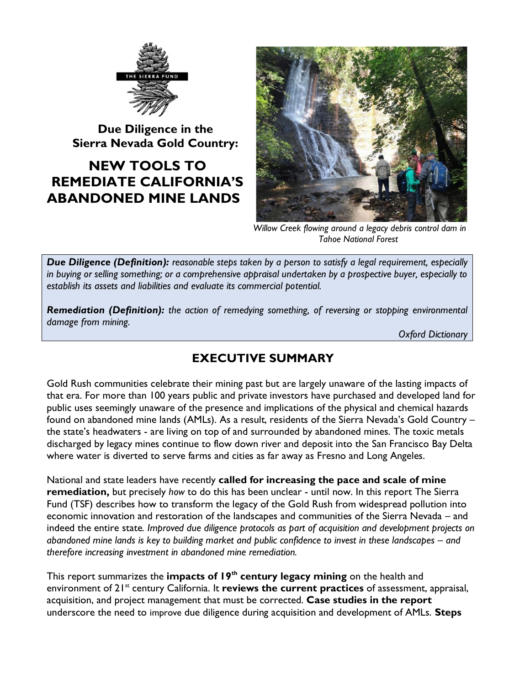

**Due Diligence in the Sierra Nevada Gold Country:**

# **NEW TOOLS TO REMEDIATE CALIFORNIA'S ABANDONED MINE LANDS**



*Willow Creek flowing around a legacy debris control dam in Tahoe National Forest*

*Due Diligence (Definition): reasonable steps taken by a person to satisfy a legal requirement, especially in buying or selling something; or a comprehensive appraisal undertaken by a prospective buyer, especially to establish its assets and liabilities and evaluate its commercial potential.*

*Remediation (Definition): the action of remedying something, of reversing or stopping environmental damage from mining.*

*Oxford Dictionary*

## **EXECUTIVE SUMMARY**

Gold Rush communities celebrate their mining past but are largely unaware of the lasting impacts of that era. For more than 100 years public and private investors have purchased and developed land for public uses seemingly unaware of the presence and implications of the physical and chemical hazards found on abandoned mine lands (AMLs). As a result, residents of the Sierra Nevada's Gold Country – the state's headwaters - are living on top of and surrounded by abandoned mines. The toxic metals discharged by legacy mines continue to flow down river and deposit into the San Francisco Bay Delta where water is diverted to serve farms and cities as far away as Fresno and Long Angeles.

National and state leaders have recently **called for increasing the pace and scale of mine remediation,** but precisely *how* to do this has been unclear - until now. In this report The Sierra Fund (TSF) describes how to transform the legacy of the Gold Rush from widespread pollution into economic innovation and restoration of the landscapes and communities of the Sierra Nevada – and indeed the entire state*. Improved due diligence protocols as part of acquisition and development projects on abandoned mine lands is key to building market and public confidence to invest in these landscapes – and therefore increasing investment in abandoned mine remediation.* 

This report summarizes the **impacts of 19th century legacy mining** on the health and environment of 21<sup>st</sup> century California. It **reviews the current practices** of assessment, appraisal, acquisition, and project management that must be corrected. **Case studies in the report**  underscore the need to improve due diligence during acquisition and development of AMLs. **Steps**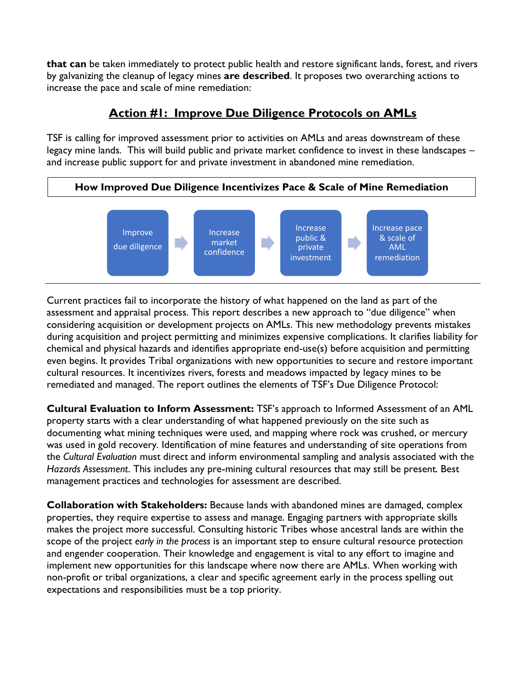**that can** be taken immediately to protect public health and restore significant lands, forest, and rivers by galvanizing the cleanup of legacy mines **are described**. It proposes two overarching actions to increase the pace and scale of mine remediation:

#### **Action #1: Improve Due Diligence Protocols on AMLs**

TSF is calling for improved assessment prior to activities on AMLs and areas downstream of these legacy mine lands. This will build public and private market confidence to invest in these landscapes – and increase public support for and private investment in abandoned mine remediation.





Current practices fail to incorporate the history of what happened on the land as part of the assessment and appraisal process. This report describes a new approach to "due diligence" when considering acquisition or development projects on AMLs. This new methodology prevents mistakes during acquisition and project permitting and minimizes expensive complications. It clarifies liability for chemical and physical hazards and identifies appropriate end-use(s) before acquisition and permitting even begins. It provides Tribal organizations with new opportunities to secure and restore important cultural resources. It incentivizes rivers, forests and meadows impacted by legacy mines to be remediated and managed. The report outlines the elements of TSF's Due Diligence Protocol:

**Cultural Evaluation to Inform Assessment:** TSF's approach to Informed Assessment of an AML property starts with a clear understanding of what happened previously on the site such as documenting what mining techniques were used, and mapping where rock was crushed, or mercury was used in gold recovery. Identification of mine features and understanding of site operations from the *Cultural Evaluation* must direct and inform environmental sampling and analysis associated with the *Hazards Assessment*. This includes any pre-mining cultural resources that may still be present. Best management practices and technologies for assessment are described.

**Collaboration with Stakeholders:** Because lands with abandoned mines are damaged, complex properties, they require expertise to assess and manage. Engaging partners with appropriate skills makes the project more successful. Consulting historic Tribes whose ancestral lands are within the scope of the project *early in the process* is an important step to ensure cultural resource protection and engender cooperation. Their knowledge and engagement is vital to any effort to imagine and implement new opportunities for this landscape where now there are AMLs. When working with non-profit or tribal organizations, a clear and specific agreement early in the process spelling out expectations and responsibilities must be a top priority.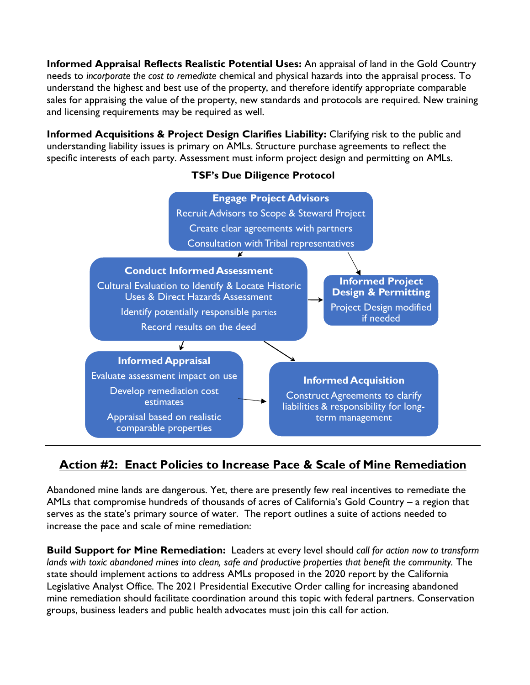**Informed Appraisal Reflects Realistic Potential Uses:** An appraisal of land in the Gold Country needs to *incorporate the cost to remediate* chemical and physical hazards into the appraisal process. To understand the highest and best use of the property, and therefore identify appropriate comparable sales for appraising the value of the property, new standards and protocols are required. New training and licensing requirements may be required as well.

**Informed Acquisitions & Project Design Clarifies Liability:** Clarifying risk to the public and understanding liability issues is primary on AMLs. Structure purchase agreements to reflect the specific interests of each party. Assessment must inform project design and permitting on AMLs.

#### **TSF's Due Diligence Protocol**



### **Action #2: Enact Policies to Increase Pace & Scale of Mine Remediation**

Abandoned mine lands are dangerous. Yet, there are presently few real incentives to remediate the AMLs that compromise hundreds of thousands of acres of California's Gold Country – a region that serves as the state's primary source of water. The report outlines a suite of actions needed to increase the pace and scale of mine remediation:

**Build Support for Mine Remediation:** Leaders at every level should *call for action now to transform lands with toxic abandoned mines into clean, safe and productive properties that benefit the community.* The state should implement actions to address AMLs proposed in the 2020 report by the California Legislative Analyst Office. The 2021 Presidential Executive Order calling for increasing abandoned mine remediation should facilitate coordination around this topic with federal partners. Conservation groups, business leaders and public health advocates must join this call for action.